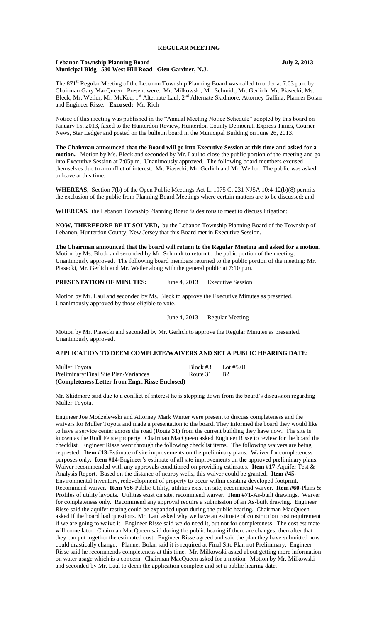### **Lebanon Township Planning Board July 2, 2013 Municipal Bldg 530 West Hill Road Glen Gardner, N.J.**

The 871<sup>st</sup> Regular Meeting of the Lebanon Township Planning Board was called to order at 7:03 p.m. by Chairman Gary MacQueen. Present were: Mr. Milkowski, Mr. Schmidt, Mr. Gerlich, Mr. Piasecki, Ms. Bleck, Mr. Weiler, Mr. McKee, 1<sup>st</sup> Alternate Laul, 2<sup>nd</sup> Alternate Skidmore, Attorney Gallina, Planner Bolan and Engineer Risse. **Excused:** Mr. Rich

Notice of this meeting was published in the "Annual Meeting Notice Schedule" adopted by this board on January 15, 2013, faxed to the Hunterdon Review, Hunterdon County Democrat, Express Times, Courier News, Star Ledger and posted on the bulletin board in the Municipal Building on June 26, 2013.

**The Chairman announced that the Board will go into Executive Session at this time and asked for a motion.** Motion by Ms. Bleck and seconded by Mr. Laul to close the public portion of the meeting and go into Executive Session at 7:05p.m. Unanimously approved. The following board members excused themselves due to a conflict of interest: Mr. Piasecki, Mr. Gerlich and Mr. Weiler. The public was asked to leave at this time.

**WHEREAS,** Section 7(b) of the Open Public Meetings Act L. 1975 C. 231 NJSA 10:4-12(b)(8) permits the exclusion of the public from Planning Board Meetings where certain matters are to be discussed; and

**WHEREAS,** the Lebanon Township Planning Board is desirous to meet to discuss litigation;

**NOW, THEREFORE BE IT SOLVED,** by the Lebanon Township Planning Board of the Township of Lebanon, Hunterdon County, New Jersey that this Board met in Executive Session.

**The Chairman announced that the board will return to the Regular Meeting and asked for a motion.**  Motion by Ms. Bleck and seconded by Mr. Schmidt to return to the pubic portion of the meeting. Unanimously approved. The following board members returned to the public portion of the meeting: Mr. Piasecki, Mr. Gerlich and Mr. Weiler along with the general public at 7:10 p.m.

**PRESENTATION OF MINUTES:** June 4, 2013 Executive Session

Motion by Mr. Laul and seconded by Ms. Bleck to approve the Executive Minutes as presented. Unanimously approved by those eligible to vote.

June 4, 2013 Regular Meeting

Motion by Mr. Piasecki and seconded by Mr. Gerlich to approve the Regular Minutes as presented. Unanimously approved.

# **APPLICATION TO DEEM COMPLETE/WAIVERS AND SET A PUBLIC HEARING DATE:**

| Muller Toyota                                   | Block #3 | Lot #5.01 |
|-------------------------------------------------|----------|-----------|
| Preliminary/Final Site Plan/Variances           | Route 31 | - B2      |
| (Completeness Letter from Engr. Risse Enclosed) |          |           |

Mr. Skidmore said due to a conflict of interest he is stepping down from the board's discussion regarding Muller Toyota.

Engineer Joe Modzelewski and Attorney Mark Winter were present to discuss completeness and the waivers for Muller Toyota and made a presentation to the board. They informed the board they would like to have a service center across the road (Route 31) from the current building they have now. The site is known as the Rudl Fence property. Chairman MacQueen asked Engineer Risse to review for the board the checklist. Engineer Risse went through the following checklist items. The following waivers are being requested: **Item #13**-Estimate of site improvements on the preliminary plans. Waiver for completeness purposes only**. Item #14-**Engineer's estimate of all site improvements on the approved preliminary plans. Waiver recommended with any approvals conditioned on providing estimates. **Item #17**-Aquifer Test & Analysis Report. Based on the distance of nearby wells, this waiver could be granted. **Item #45**- Environmental Inventory, redevelopment of property to occur within existing developed footprint. Recommend waiver**. Item #56**-Public Utility, utilities exist on site, recommend waiver. **Item #60-**Plans & Profiles of utility layouts. Utilities exist on site, recommend waiver. **Item #71-**As-built drawings. Waiver for completeness only. Recommend any approval require a submission of an As-built drawing. Engineer Risse said the aquifer testing could be expanded upon during the public hearing. Chairman MacQueen asked if the board had questions. Mr. Laul asked why we have an estimate of construction cost requirement if we are going to waive it. Engineer Risse said we do need it, but not for completeness. The cost estimate will come later. Chairman MacQueen said during the public hearing if there are changes, then after that they can put together the estimated cost. Engineer Risse agreed and said the plan they have submitted now could drastically change. Planner Bolan said it is required at Final Site Plan not Preliminary. Engineer Risse said he recommends completeness at this time. Mr. Milkowski asked about getting more information on water usage which is a concern. Chairman MacQueen asked for a motion. Motion by Mr. Milkowski and seconded by Mr. Laul to deem the application complete and set a public hearing date.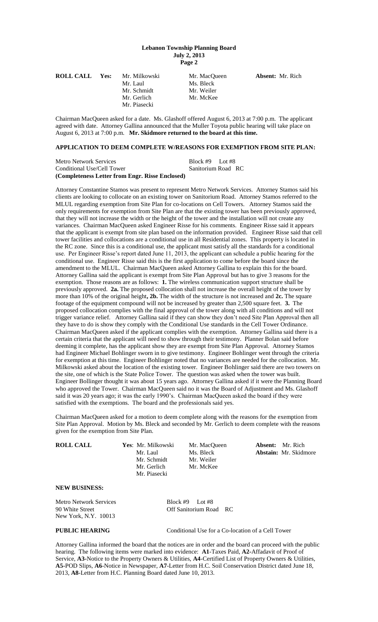| <b>ROLL CALL</b> | Yes: | Mr. Milkowski | Mr. MacOueen | <b>Absent:</b> Mr. Rich |
|------------------|------|---------------|--------------|-------------------------|
|                  |      | Mr. Laul      | Ms. Bleck    |                         |
|                  |      | Mr. Schmidt   | Mr. Weiler   |                         |
|                  |      | Mr. Gerlich   | Mr. McKee    |                         |
|                  |      | Mr. Piasecki  |              |                         |
|                  |      |               |              |                         |

Chairman MacQueen asked for a date. Ms. Glashoff offered August 6, 2013 at 7:00 p.m. The applicant agreed with date. Attorney Gallina announced that the Muller Toyota public hearing will take place on August 6, 2013 at 7:00 p.m. **Mr. Skidmore returned to the board at this time.**

# **APPLICATION TO DEEM COMPLETE W/REASONS FOR EXEMPTION FROM SITE PLAN:**

| <b>Metro Network Services</b>                   | Block #9 Lot #8    |  |
|-------------------------------------------------|--------------------|--|
| Conditional Use/Cell Tower                      | Sanitorium Road RC |  |
| (Completeness Letter from Engr. Risse Enclosed) |                    |  |

Attorney Constantine Stamos was present to represent Metro Network Services. Attorney Stamos said his clients are looking to collocate on an existing tower on Sanitorium Road. Attorney Stamos referred to the MLUL regarding exemption from Site Plan for co-locations on Cell Towers. Attorney Stamos said the only requirements for exemption from Site Plan are that the existing tower has been previously approved, that they will not increase the width or the height of the tower and the installation will not create any variances. Chairman MacQueen asked Engineer Risse for his comments. Engineer Risse said it appears that the applicant is exempt from site plan based on the information provided. Engineer Risse said that cell tower facilities and collocations are a conditional use in all Residential zones. This property is located in the RC zone. Since this is a conditional use, the applicant must satisfy all the standards for a conditional use. Per Engineer Risse's report dated June 11, 2013, the applicant can schedule a public hearing for the conditional use. Engineer Risse said this is the first application to come before the board since the amendment to the MLUL. Chairman MacQueen asked Attorney Gallina to explain this for the board. Attorney Gallina said the applicant is exempt from Site Plan Approval but has to give 3 reasons for the exemption. Those reasons are as follows: **1.** The wireless communication support structure shall be previously approved. **2a.** The proposed collocation shall not increase the overall height of the tower by more than 10% of the original height**, 2b.** The width of the structure is not increased and **2c.** The square footage of the equipment compound will not be increased by greater than 2,500 square feet. **3.** The proposed collocation complies with the final approval of the tower along with all conditions and will not trigger variance relief. Attorney Gallina said if they can show they don't need Site Plan Approval then all they have to do is show they comply with the Conditional Use standards in the Cell Tower Ordinance. Chairman MacQueen asked if the applicant complies with the exemption. Attorney Gallina said there is a certain criteria that the applicant will need to show through their testimony. Planner Bolan said before deeming it complete, has the applicant show they are exempt from Site Plan Approval. Attorney Stamos had Engineer Michael Bohlinger sworn in to give testimony. Engineer Bohlinger went through the criteria for exemption at this time. Engineer Bohlinger noted that no variances are needed for the collocation. Mr. Milkowski asked about the location of the existing tower. Engineer Bohlinger said there are two towers on the site, one of which is the State Police Tower. The question was asked when the tower was built. Engineer Bollinger thought it was about 15 years ago. Attorney Gallina asked if it were the Planning Board who approved the Tower. Chairman MacQueen said no it was the Board of Adjustment and Ms. Glashoff said it was 20 years ago; it was the early 1990's. Chairman MacQueen asked the board if they were satisfied with the exemptions. The board and the professionals said yes.

Chairman MacQueen asked for a motion to deem complete along with the reasons for the exemption from Site Plan Approval. Motion by Ms. Bleck and seconded by Mr. Gerlich to deem complete with the reasons given for the exemption from Site Plan.

| <b>ROLL CALL</b> | Yes: Mr. Milkowski | Mr. MacQueen |
|------------------|--------------------|--------------|
|                  | Mr. Laul           | Ms. Bleck    |
|                  | Mr. Schmidt        | Mr. Weiler   |
|                  | Mr. Gerlich        | Mr. McKee    |
|                  | Mr. Piasecki       |              |
| NEW RUSINESS.    |                    |              |

**Absent:** Mr. Rich Abstain: Mr. Skidmore

# **NEW BUSINESS:**

Metro Network Services Block #9 Lot #8 90 White Street **Off Sanitorium Road** RC New York, N.Y. 10013

**PUBLIC HEARING** Conditional Use for a Co-location of a Cell Tower

Attorney Gallina informed the board that the notices are in order and the board can proceed with the public hearing. The following items were marked into evidence: **A1**-Taxes Paid, **A2-**Affadavit of Proof of Service, **A3-**Notice to the Property Owners & Utilities, **A4**-Certified List of Property Owners & Utilities, **A5-**POD Slips, **A6**-Notice in Newspaper, **A7**-Letter from H.C. Soil Conservation District dated June 18, 2013, **A8**-Letter from H.C. Planning Board dated June 10, 2013.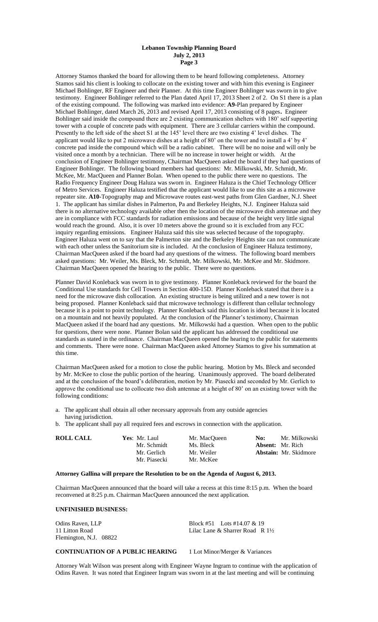Attorney Stamos thanked the board for allowing them to be heard following completeness. Attorney Stamos said his client is looking to collocate on the existing tower and with him this evening is Engineer Michael Bohlinger, RF Engineer and their Planner. At this time Engineer Bohlinger was sworn in to give testimony. Engineer Bohlinger referred to the Plan dated April 17, 2013 Sheet 2 of 2. On S1 there is a plan of the existing compound. The following was marked into evidence: **A9-**Plan prepared by Engineer Michael Bohlinger, dated March 26, 2013 and revised April 17, 2013 consisting of 8 pages**.** Engineer Bohlinger said inside the compound there are 2 existing communication shelters with 180' self supporting tower with a couple of concrete pads with equipment. There are 3 cellular carriers within the compound. Presently to the left side of the sheet S1 at the 145' level there are two existing 4' level dishes. The applicant would like to put 2 microwave dishes at a height of 80' on the tower and to install a 4' by 4' concrete pad inside the compound which will be a radio cabinet. There will be no noise and will only be visited once a month by a technician. There will be no increase in tower height or width. At the conclusion of Engineer Bohlinger testimony, Chairman MacQueen asked the board if they had questions of Engineer Bohlinger. The following board members had questions: Mr. Milkowski, Mr. Schmidt, Mr. McKee, Mr. MacQueen and Planner Bolan. When opened to the public there were no questions. The Radio Frequency Engineer Doug Haluza was sworn in. Engineer Haluza is the Chief Technology Officer of Metro Services. Engineer Haluza testified that the applicant would like to use this site as a microwave repeater site. **A10-**Topography map and Microwave routes east-west paths from Glen Gardner, N.J. Sheet 1. The applicant has similar dishes in Palmerton, Pa and Berkeley Heights, N.J. Engineer Haluza said there is no alternative technology available other then the location of the microwave dish antennae and they are in compliance with FCC standards for radiation emissions and because of the height very little signal would reach the ground. Also, it is over 10 meters above the ground so it is excluded from any FCC inquiry regarding emissions. Engineer Haluza said this site was selected because of the topography. Engineer Haluza went on to say that the Palmerton site and the Berkeley Heights site can not communicate with each other unless the Sanitorium site is included. At the conclusion of Engineer Haluza testimony, Chairman MacQueen asked if the board had any questions of the witness. The following board members asked questions: Mr. Weiler, Ms. Bleck, Mr. Schmidt, Mr. Milkowski, Mr. McKee and Mr. Skidmore. Chairman MacQueen opened the hearing to the public. There were no questions.

Planner David Konleback was sworn in to give testimony. Planner Konleback reviewed for the board the Conditional Use standards for Cell Towers in Section 400-15D. Planner Konleback stated that there is a need for the microwave dish collocation. An existing structure is being utilized and a new tower is not being proposed. Planner Konleback said that microwave technology is different than cellular technology because it is a point to point technology. Planner Konleback said this location is ideal because it is located on a mountain and not heavily populated. At the conclusion of the Planner's testimony, Chairman MacQueen asked if the board had any questions. Mr. Milkowski had a question. When open to the public for questions, there were none. Planner Bolan said the applicant has addressed the conditional use standards as stated in the ordinance. Chairman MacQueen opened the hearing to the public for statements and comments. There were none. Chairman MacQueen asked Attorney Stamos to give his summation at this time.

Chairman MacQueen asked for a motion to close the public hearing. Motion by Ms. Bleck and seconded by Mr. McKee to close the public portion of the hearing. Unanimously approved. The board deliberated and at the conclusion of the board's deliberation, motion by Mr. Piasecki and seconded by Mr. Gerlich to approve the conditional use to collocate two dish antennae at a height of 80' on an existing tower with the following conditions:

- a. The applicant shall obtain all other necessary approvals from any outside agencies having jurisdiction.
- b. The applicant shall pay all required fees and escrows in connection with the application.

| <b>ROLL CALL</b> | Yes: Mr. Laul | Mr. MacOueen | Mr. Milkowski<br>No:         |
|------------------|---------------|--------------|------------------------------|
|                  | Mr. Schmidt   | Ms. Bleck    | <b>Absent:</b> Mr. Rich      |
|                  | Mr. Gerlich   | Mr. Weiler   | <b>Abstain:</b> Mr. Skidmore |
|                  | Mr. Piasecki  | Mr. McKee    |                              |

#### **Attorney Gallina will prepare the Resolution to be on the Agenda of August 6, 2013.**

Chairman MacQueen announced that the board will take a recess at this time 8:15 p.m. When the board reconvened at 8:25 p.m. Chairman MacQueen announced the next application.

#### **UNFINISHED BUSINESS:**

Odins Raven, LLP Block #51 Lots #14.07  $\&$  19 11 Litton Road **Lilac Lane & Sharrer Road R 1**<sup>1</sup>/<sub>2</sub> Flemington, N.J. 08822

# **CONTINUATION OF A PUBLIC HEARING** 1 Lot Minor/Merger & Variances

Attorney Walt Wilson was present along with Engineer Wayne Ingram to continue with the application of Odins Raven. It was noted that Engineer Ingram was sworn in at the last meeting and will be continuing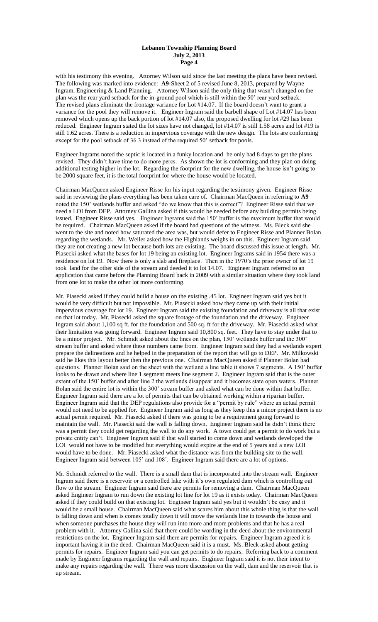with his testimony this evening. Attorney Wilson said since the last meeting the plans have been revised. The following was marked into evidence: **A9-**Sheet 2 of 5 revised June 8, 2013, prepared by Wayne Ingram, Engineering & Land Planning. Attorney Wilson said the only thing that wasn't changed on the plan was the rear yard setback for the in-ground pool which is still within the 50' rear yard setback. The revised plans eliminate the frontage variance for Lot #14.07. If the board doesn't want to grant a variance for the pool they will remove it. Engineer Ingram said the barbell shape of Lot #14.07 has been removed which opens up the back portion of lot #14.07 also, the proposed dwelling for lot #29 has been reduced. Engineer Ingram stated the lot sizes have not changed, lot #14.07 is still 1.58 acres and lot #19 is still 1.62 acres. There is a reduction in impervious coverage with the new design. The lots are conforming except for the pool setback of 36.3 instead of the required 50' setback for pools.

Engineer Ingrams noted the septic is located in a funky location and he only had 8 days to get the plans revised. They didn't have time to do more percs. As shown the lot is conforming and they plan on doing additional testing higher in the lot. Regarding the footprint for the new dwelling, the house isn't going to be 2000 square feet, it is the total footprint for where the house would be located.

Chairman MacQueen asked Engineer Risse for his input regarding the testimony given. Engineer Risse said in reviewing the plans everything has been taken care of. Chairman MacQueen in referring to **A9** noted the 150' wetlands buffer and asked "do we know that this is correct"? Engineer Risse said that we need a LOI from DEP. Attorney Gallina asked if this would be needed before any building permits being issued. Engineer Risse said yes. Engineer Ingrams said the 150' buffer is the maximum buffer that would be required. Chairman MacQueen asked if the board had questions of the witness. Ms. Bleck said she went to the site and noted how saturated the area was, but would defer to Engineer Risse and Planner Bolan regarding the wetlands. Mr. Weiler asked how the Highlands weighs in on this. Engineer Ingram said they are not creating a new lot because both lots are existing. The board discussed this issue at length. Mr. Piasecki asked what the bases for lot 19 being an existing lot. Engineer Ingrams said in 1954 there was a residence on lot 19. Now there is only a slab and fireplace. Then in the 1970's the prior owner of lot 19 took land for the other side of the stream and deeded it to lot 14.07. Engineer Ingram referred to an application that came before the Planning Board back in 2009 with a similar situation where they took land from one lot to make the other lot more conforming.

Mr. Piasecki asked if they could build a house on the existing .45 lot. Engineer Ingram said yes but it would be very difficult but not impossible. Mr. Piasecki asked how they came up with their initial impervious coverage for lot 19. Engineer Ingram said the existing foundation and driveway is all that exist on that lot today. Mr. Piasecki asked the square footage of the foundation and the driveway. Engineer Ingram said about 1,100 sq ft. for the foundation and 500 sq. ft for the driveway. Mr. Piasecki asked what their limitation was going forward. Engineer Ingram said 10,800 sq. feet. They have to stay under that to be a minor project. Mr. Schmidt asked about the lines on the plan, 150' wetlands buffer and the 300' stream buffer and asked where these numbers came from. Engineer Ingram said they had a wetlands expert prepare the delineations and he helped in the preparation of the report that will go to DEP. Mr. Milkowski said he likes this layout better then the previous one. Chairman MacQueen asked if Planner Bolan had questions. Planner Bolan said on the sheet with the wetland a line table it shows 7 segments. A 150' buffer looks to be drawn and where line 1 segment meets line segment 2. Engineer Ingram said that is the outer extent of the 150' buffer and after line 2 the wetlands disappear and it becomes state open waters. Planner Bolan said the entire lot is within the 300' stream buffer and asked what can be done within that buffer. Engineer Ingram said there are a lot of permits that can be obtained working within a riparian buffer. Engineer Ingram said that the DEP regulations also provide for a "permit by rule" where an actual permit would not need to be applied for. Engineer Ingram said as long as they keep this a minor project there is no actual permit required. Mr. Piasecki asked if there was going to be a requirement going forward to maintain the wall. Mr. Piasecki said the wall is falling down. Engineer Ingram said he didn't think there was a permit they could get regarding the wall to do any work. A town could get a permit to do work but a private entity can't. Engineer Ingram said if that wall started to come down and wetlands developed the LOI would not have to be modified but everything would expire at the end of 5 years and a new LOI would have to be done. Mr. Piasecki asked what the distance was from the building site to the wall. Engineer Ingram said between 105' and 108'. Engineer Ingram said there are a lot of options.

Mr. Schmidt referred to the wall. There is a small dam that is incorporated into the stream wall. Engineer Ingram said there is a reservoir or a controlled lake with it's own regulated dam which is controlling out flow to the stream. Engineer Ingram said there are permits for removing a dam. Chairman MacQueen asked Engineer Ingram to run down the existing lot line for lot 19 as it exists today. Chairman MacQueen asked if they could build on that existing lot. Engineer Ingram said yes but it wouldn't be easy and it would be a small house. Chairman MacQueen said what scares him about this whole thing is that the wall is falling down and when is comes totally down it will move the wetlands line in towards the house and when someone purchases the house they will run into more and more problems and that he has a real problem with it. Attorney Gallina said that there could be wording in the deed about the environmental restrictions on the lot. Engineer Ingram said there are permits for repairs. Engineer Ingram agreed it is important having it in the deed. Chairman MacQueen said it is a must. Ms. Bleck asked about getting permits for repairs. Engineer Ingram said you can get permits to do repairs. Referring back to a comment made by Engineer Ingrams regarding the wall and repairs. Engineer Ingram said it is not their intent to make any repairs regarding the wall. There was more discussion on the wall, dam and the reservoir that is up stream.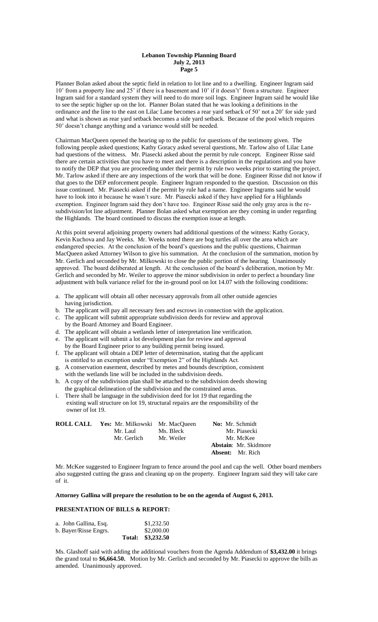Planner Bolan asked about the septic field in relation to lot line and to a dwelling. Engineer Ingram said 10' from a property line and 25' if there is a basement and 10' if it doesn't' from a structure. Engineer Ingram said for a standard system they will need to do more soil logs. Engineer Ingram said he would like to see the septic higher up on the lot. Planner Bolan stated that he was looking a definitions in the ordinance and the line to the east on Lilac Lane becomes a rear yard setback of 50' not a 20' for side yard and what is shown as rear yard setback becomes a side yard setback. Because of the pool which requires 50' doesn't change anything and a variance would still be needed.

Chairman MacQueen opened the hearing up to the public for questions of the testimony given. The following people asked questions; Kathy Goracy asked several questions, Mr. Tarlow also of Lilac Lane had questions of the witness. Mr. Piasecki asked about the permit by rule concept. Engineer Risse said there are certain activities that you have to meet and there is a description in the regulations and you have to notify the DEP that you are proceeding under their permit by rule two weeks prior to starting the project. Mr. Tarlow asked if there are any inspections of the work that will be done. Engineer Risse did not know if that goes to the DEP enforcement people. Engineer Ingram responded to the question. Discussion on this issue continued. Mr. Piasecki asked if the permit by rule had a name. Engineer Ingrams said he would have to look into it because he wasn't sure. Mr. Piasecki asked if they have applied for a Highlands exemption. Engineer Ingram said they don't have too. Engineer Risse said the only gray area is the resubdivision/lot line adjustment. Planner Bolan asked what exemption are they coming in under regarding the Highlands. The board continued to discuss the exemption issue at length.

At this point several adjoining property owners had additional questions of the witness: Kathy Goracy, Kevin Kuchova and Jay Weeks. Mr. Weeks noted there are bog turtles all over the area which are endangered species. At the conclusion of the board's questions and the public questions, Chairman MacQueen asked Attorney Wilson to give his summation. At the conclusion of the summation, motion by Mr. Gerlich and seconded by Mr. Milkowski to close the public portion of the hearing. Unanimously approved. The board deliberated at length. At the conclusion of the board's deliberation, motion by Mr. Gerlich and seconded by Mr. Weiler to approve the minor subdivision in order to perfect a boundary line adjustment with bulk variance relief for the in-ground pool on lot 14.07 with the following conditions:

- a. The applicant will obtain all other necessary approvals from all other outside agencies having jurisdiction.
- b. The applicant will pay all necessary fees and escrows in connection with the application.
- c. The applicant will submit appropriate subdivision deeds for review and approval
- by the Board Attorney and Board Engineer.
- d. The applicant will obtain a wetlands letter of interpretation line verification.
- e. The applicant will submit a lot development plan for review and approval by the Board Engineer prior to any building permit being issued.
- f. The applicant will obtain a DEP letter of determination, stating that the applicant is entitled to an exemption under "Exemption 2" of the Highlands Act.
- g. A conservation easement, described by metes and bounds description, consistent with the wetlands line will be included in the subdivision deeds.
- h. A copy of the subdivision plan shall be attached to the subdivision deeds showing the graphical delineation of the subdivision and the constrained areas.
- i. There shall be language in the subdivision deed for lot 19 that regarding the existing wall structure on lot 19, structural repairs are the responsibility of the owner of lot 19.

| <b>ROLL CALL</b> Yes: Mr. Milkowski Mr. MacQueen |            | <b>No:</b> Mr. Schmidt       |
|--------------------------------------------------|------------|------------------------------|
| Mr. Laul                                         | Ms. Bleck  | Mr. Piasecki                 |
| Mr. Gerlich                                      | Mr. Weiler | Mr. McKee                    |
|                                                  |            | <b>Abstain:</b> Mr. Skidmore |
|                                                  |            | <b>Absent:</b> Mr. Rich      |

Mr. McKee suggested to Engineer Ingram to fence around the pool and cap the well. Other board members also suggested cutting the grass and cleaning up on the property. Engineer Ingram said they will take care of it.

#### **Attorney Gallina will prepare the resolution to be on the agenda of August 6, 2013.**

# **PRESENTATION OF BILLS & REPORT:**

| a. John Gallina, Esq. | \$1,232.50        |
|-----------------------|-------------------|
| b. Bayer/Risse Engrs. | \$2,000.00        |
|                       | Total: \$3,232.50 |

Ms. Glashoff said with adding the additional vouchers from the Agenda Addendum of **\$3,432.00** it brings the grand total to **\$6,664.50.** Motion by Mr. Gerlich and seconded by Mr. Piasecki to approve the bills as amended. Unanimously approved.